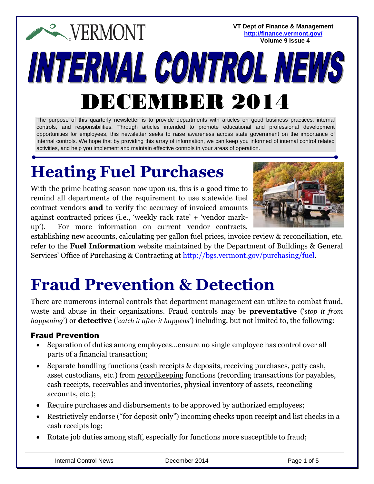**VT Dept of Finance & Management <http://finance.vermont.gov/> Volume 9 Issue 4**

# **EXPERMONT** INTERNAL CONTROL NEW DECEMBER 2014

The purpose of this quarterly newsletter is to provide departments with articles on good business practices, internal controls, and responsibilities. Through articles intended to promote educational and professional development opportunities for employees, this newsletter seeks to raise awareness across state government on the importance of internal controls. We hope that by providing this array of information, we can keep you informed of internal control related activities, and help you implement and maintain effective controls in your areas of operation.

## **Heating Fuel Purchases**

With the prime heating season now upon us, this is a good time to remind all departments of the requirement to use statewide fuel contract vendors **and** to verify the accuracy of invoiced amounts against contracted prices (i.e., 'weekly rack rate' + 'vendor markup'). For more information on current vendor contracts,



establishing new accounts, calculating per gallon fuel prices, invoice review & reconciliation, etc. refer to the **Fuel Information** website maintained by the Department of Buildings & General Services' Office of Purchasing & Contracting at [http://bgs.vermont.gov/purchasing/fuel.](http://bgs.vermont.gov/purchasing/fuel)

### **Fraud Prevention & Detection**

There are numerous internal controls that department management can utilize to combat fraud, waste and abuse in their organizations. Fraud controls may be **preventative** ('*stop it from happening*') or **detective** ('*catch it after it happens*') including, but not limited to, the following:

### Fraud Prevention

- Separation of duties among employees…ensure no single employee has control over all parts of a financial transaction;
- Separate handling functions (cash receipts & deposits, receiving purchases, petty cash, asset custodians, etc.) from recordkeeping functions (recording transactions for payables, cash receipts, receivables and inventories, physical inventory of assets, reconciling accounts, etc.);
- Require purchases and disbursements to be approved by authorized employees;
- Restrictively endorse ("for deposit only") incoming checks upon receipt and list checks in a cash receipts log;
- Rotate job duties among staff, especially for functions more susceptible to fraud;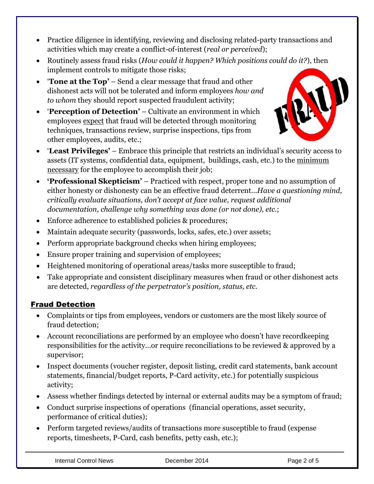- Practice diligence in identifying, reviewing and disclosing related-party transactions and activities which may create a conflict-of-interest (*real or perceived*);
- Routinely assess fraud risks (*How could it happen? Which positions could do it?*), then implement controls to mitigate those risks;
- '**Tone at the Top'** Send a clear message that fraud and other dishonest acts will not be tolerated and inform employees *how and to whom* they should report suspected fraudulent activity;
- '**Perception of Detection'** Cultivate an environment in which employees expect that fraud will be detected through monitoring techniques, transactions review, surprise inspections, tips from other employees, audits, etc.;



- '**Least Privileges'** Embrace this principle that restricts an individual's security access to assets (IT systems, confidential data, equipment, buildings, cash, etc.) to the minimum necessary for the employee to accomplish their job;
- **'Professional Skepticism'**  Practiced with respect, proper tone and no assumption of either honesty or dishonesty can be an effective fraud deterrent...*Have a questioning mind, critically evaluate situations, don't accept at face value, request additional documentation, challenge why something was done (or not done), etc*.;
- Enforce adherence to established policies & procedures;
- Maintain adequate security (passwords, locks, safes, etc.) over assets;
- Perform appropriate background checks when hiring employees;
- Ensure proper training and supervision of employees;
- Heightened monitoring of operational areas/tasks more susceptible to fraud;
- Take appropriate and consistent disciplinary measures when fraud or other dishonest acts are detected, *regardless of the perpetrator's position, status, etc.*

### Fraud Detection

- Complaints or tips from employees, vendors or customers are the most likely source of fraud detection;
- Account reconciliations are performed by an employee who doesn't have recordkeeping responsibilities for the activity…or require reconciliations to be reviewed & approved by a supervisor;
- Inspect documents (voucher register, deposit listing, credit card statements, bank account statements, financial/budget reports, P-Card activity, etc.) for potentially suspicious activity;
- Assess whether findings detected by internal or external audits may be a symptom of fraud;
- Conduct surprise inspections of operations (financial operations, asset security, performance of critical duties);
- Perform targeted reviews/audits of transactions more susceptible to fraud (expense reports, timesheets, P-Card, cash benefits, petty cash, etc.);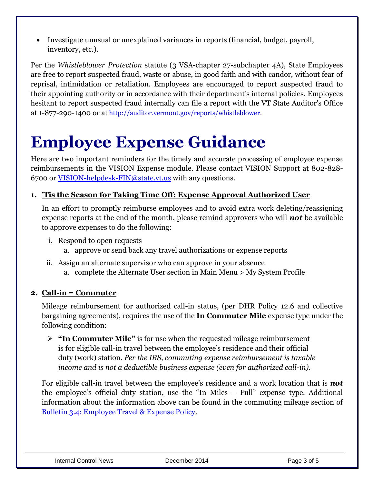Investigate unusual or unexplained variances in reports (financial, budget, payroll, inventory, etc.).

Per the *Whistleblower Protection* statute (3 VSA-chapter 27-subchapter 4A), State Employees are free to report suspected fraud, waste or abuse, in good faith and with candor, without fear of reprisal, intimidation or retaliation. Employees are encouraged to report suspected fraud to their appointing authority or in accordance with their department's internal policies. Employees hesitant to report suspected fraud internally can file a report with the VT State Auditor's Office at 1-877-290-1400 or at [http://auditor.vermont.gov/reports/whistleblower.](http://auditor.vermont.gov/reports/whistleblower)

### **Employee Expense Guidance**

Here are two important reminders for the timely and accurate processing of employee expense reimbursements in the VISION Expense module. Please contact VISION Support at 802-828- 6700 or [VISION-helpdesk-FIN@state.vt.us](mailto:VISION-helpdesk-FIN@state.vt.us) with any questions.

#### **1. 'Tis the Season for Taking Time Off: Expense Approval Authorized User**

In an effort to promptly reimburse employees and to avoid extra work deleting/reassigning expense reports at the end of the month, please remind approvers who will *not* be available to approve expenses to do the following:

- i. Respond to open requests
	- a. approve or send back any travel authorizations or expense reports
- ii. Assign an alternate supervisor who can approve in your absence
	- a. complete the Alternate User section in Main Menu > My System Profile

### **2. Call-in = Commuter**

Mileage reimbursement for authorized call-in status, (per DHR Policy 12.6 and collective bargaining agreements), requires the use of the **In Commuter Mile** expense type under the following condition:

 **"In Commuter Mile"** is for use when the requested mileage reimbursement is for eligible call-in travel between the employee's residence and their official duty (work) station. *Per the IRS, commuting expense reimbursement is taxable income and is not a deductible business expense (even for authorized call-in).*

For eligible call-in travel between the employee's residence and a work location that is *not* the employee's official duty station, use the "In Miles – Full" expense type. Additional information about the information above can be found in the commuting mileage section of [Bulletin 3.4: Employee Travel & Expense Policy.](http://aoa.vermont.gov/bulletins)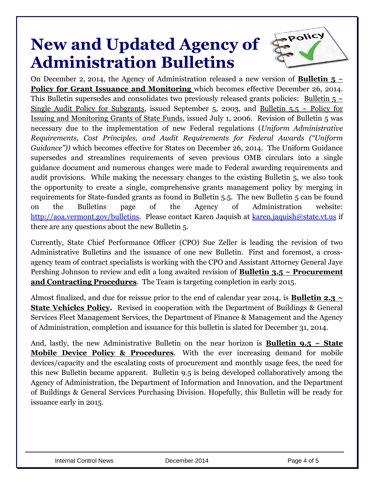### **New and Updated Agency of Administration Bulletins**



On December 2, 2014, the Agency of Administration released a new version of **Bulletin 5**  $\sim$ **Policy for Grant Issuance and Monitoring** which becomes effective December 26, 2014. This Bulletin supersedes and consolidates two previously released grants policies: Bulletin  $5 \sim$ Single Audit Policy for Subgrants, issued September 5, 2003, and Bulletin  $5.5 \sim$  Policy for Issuing and Monitoring Grants of State Funds, issued July 1, 2006. Revision of Bulletin 5 was necessary due to the implementation of new Federal regulations (*Uniform Administrative Requirements, Cost Principles, and Audit Requirements for Federal Awards ("Uniform Guidance"))* which becomes effective for States on December 26, 2014. The Uniform Guidance supersedes and streamlines requirements of seven previous OMB circulars into a single guidance document and numerous changes were made to Federal awarding requirements and audit provisions. While making the necessary changes to the existing Bulletin 5, we also took the opportunity to create a single, comprehensive grants management policy by merging in requirements for State-funded grants as found in Bulletin 5.5. The new Bulletin 5 can be found on the Bulletins page of the Agency of Administration website: [http://aoa.vermont.gov/bulletins.](http://aoa.vermont.gov/bulletins) Please contact Karen Jaquish at [karen.jaquish@state.vt.us](mailto:karen.jaquish@state.vt.us) if there are any questions about the new Bulletin 5.

Currently, State Chief Performance Officer (CPO) Sue Zeller is leading the revision of two Administrative Bulletins and the issuance of one new Bulletin. First and foremost, a crossagency team of contract specialists is working with the CPO and Assistant Attorney General Jaye Pershing Johnson to review and edit a long awaited revision of **Bulletin 3.5 ~ Procurement and Contracting Procedures**. The Team is targeting completion in early 2015.

Almost finalized, and due for reissue prior to the end of calendar year 2014, is **Bulletin 2.3 ~ State Vehicles Policy.** Revised in cooperation with the Department of Buildings & General Services Fleet Management Services, the Department of Finance & Management and the Agency of Administration, completion and issuance for this bulletin is slated for December 31, 2014.

And, lastly, the new Administrative Bulletin on the near horizon is **Bulletin 9.5 ~ State Mobile Device Policy & Procedures**. With the ever increasing demand for mobile devices/capacity and the escalating costs of procurement and monthly usage fees, the need for this new Bulletin became apparent. Bulletin 9.5 is being developed collaboratively among the Agency of Administration, the Department of Information and Innovation, and the Department of Buildings & General Services Purchasing Division. Hopefully, this Bulletin will be ready for issuance early in 2015.